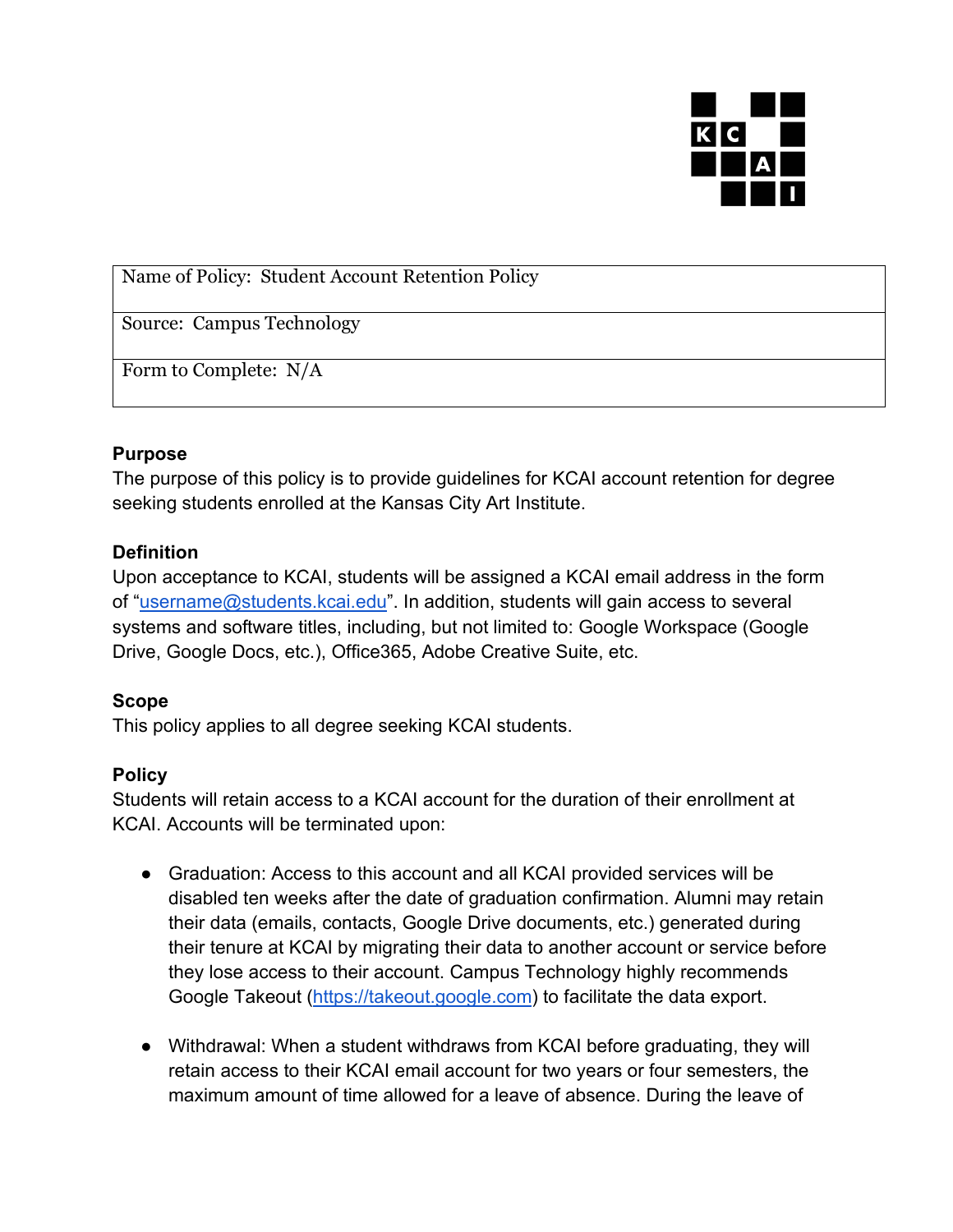

Name of Policy: Student Account Retention Policy

Source: Campus Technology

Form to Complete: N/A

## **Purpose**

The purpose of this policy is to provide guidelines for KCAI account retention for degree seeking students enrolled at the Kansas City Art Institute.

## **Definition**

Upon acceptance to KCAI, students will be assigned a KCAI email address in the form of "username@students.kcai.edu". In addition, students will gain access to several systems and software titles, including, but not limited to: Google Workspace (Google Drive, Google Docs, etc.), Office365, Adobe Creative Suite, etc.

## **Scope**

This policy applies to all degree seeking KCAI students.

## **Policy**

Students will retain access to a KCAI account for the duration of their enrollment at KCAI. Accounts will be terminated upon:

- Graduation: Access to this account and all KCAI provided services will be disabled ten weeks after the date of graduation confirmation. Alumni may retain their data (emails, contacts, Google Drive documents, etc.) generated during their tenure at KCAI by migrating their data to another account or service before they lose access to their account. Campus Technology highly recommends Google Takeout (https://takeout.google.com) to facilitate the data export.
- Withdrawal: When a student withdraws from KCAI before graduating, they will retain access to their KCAI email account for two years or four semesters, the maximum amount of time allowed for a leave of absence. During the leave of